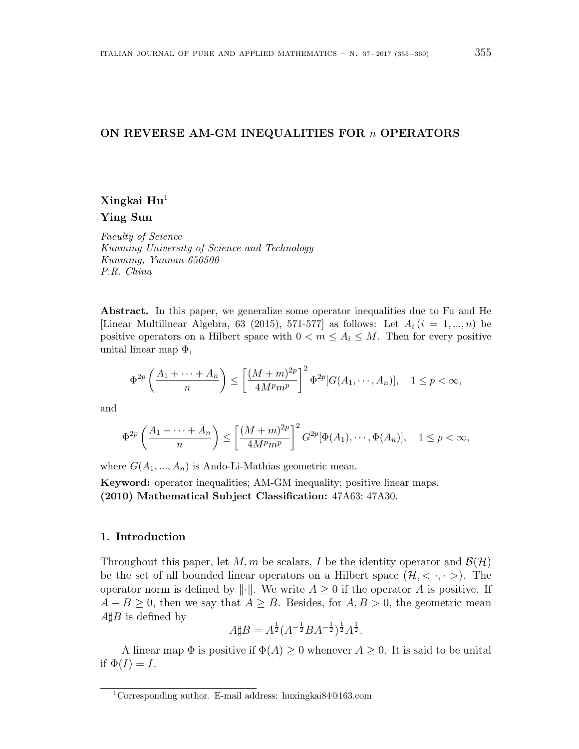#### **ON REVERSE AM-GM INEQUALITIES FOR** *n* **OPERATORS**

# **Xingkai Hu**<sup>1</sup> **Ying Sun**

*Faculty of Science Kunming University of Science and Technology Kunming, Yunnan 650500 P.R. China*

Abstract. In this paper, we generalize some operator inequalities due to Fu and He [Linear Multilinear Algebra, 63 (2015), 571-577] as follows: Let  $A_i$  ( $i = 1, ..., n$ ) be positive operators on a Hilbert space with  $0 < m \leq A_i \leq M$ . Then for every positive unital linear map  $\Phi$ ,

$$
\Phi^{2p}\left(\frac{A_1+\cdots+A_n}{n}\right)\leq \left[\frac{(M+m)^{2p}}{4M^p m^p}\right]^2 \Phi^{2p}[G(A_1,\cdots,A_n)], \quad 1\leq p<\infty,
$$

and

$$
\Phi^{2p}\left(\frac{A_1+\cdots+A_n}{n}\right) \le \left[\frac{(M+m)^{2p}}{4M^p m^p}\right]^2 G^{2p}[\Phi(A_1),\cdots,\Phi(A_n)], \quad 1 \le p < \infty,
$$

where  $G(A_1, ..., A_n)$  is Ando-Li-Mathias geometric mean.

**Keyword:** operator inequalities; AM-GM inequality; positive linear maps. **(2010) Mathematical Subject Classification:** 47A63; 47A30.

#### **1. Introduction**

Throughout this paper, let M, m be scalars, I be the identity operator and  $\mathcal{B}(\mathcal{H})$ be the set of all bounded linear operators on a Hilbert space  $(\mathcal{H}, \langle \cdot, \cdot \rangle)$ . The operator norm is defined by  $\|\cdot\|$ . We write  $A \geq 0$  if the operator  $A$  is positive. If *A* − *B*  $\ge$  0, then we say that *A*  $\ge$  *B*. Besides, for *A*, *B*  $>$  0, the geometric mean *A*<sup> $#B$ </sup> is defined by

$$
A \sharp B = A^{\frac{1}{2}} (A^{-\frac{1}{2}} B A^{-\frac{1}{2}})^{\frac{1}{2}} A^{\frac{1}{2}}.
$$

A linear map  $\Phi$  is positive if  $\Phi(A) \geq 0$  whenever  $A \geq 0$ . It is said to be unital if  $\Phi(I) = I$ .

<sup>1</sup>Corresponding author. E-mail address: huxingkai84@163.com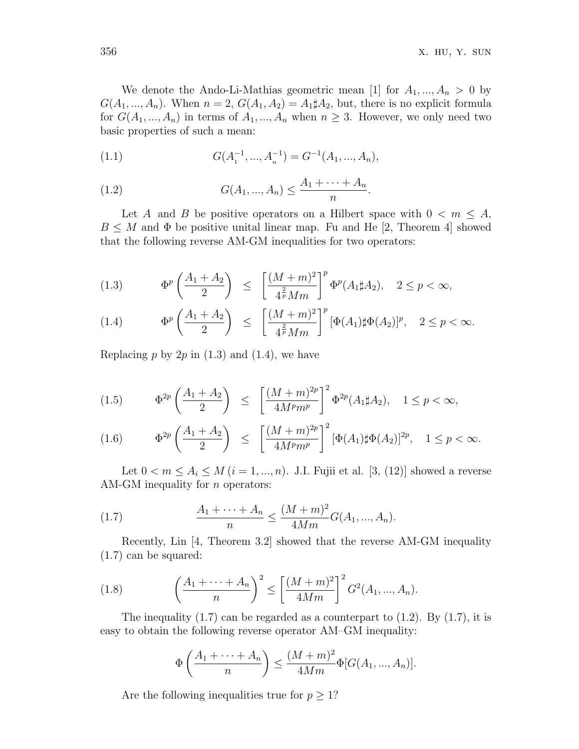We denote the Ando-Li-Mathias geometric mean [1] for  $A_1, ..., A_n > 0$  by  $G(A_1, ..., A_n)$ . When  $n = 2$ ,  $G(A_1, A_2) = A_1 \sharp A_2$ , but, there is no explicit formula for  $G(A_1, ..., A_n)$  in terms of  $A_1, ..., A_n$  when  $n \geq 3$ . However, we only need two basic properties of such a mean:

(1.1) 
$$
G(A_1^{-1},...,A_n^{-1}) = G^{-1}(A_1,...,A_n),
$$

(1.2) 
$$
G(A_1, ..., A_n) \leq \frac{A_1 + \dots + A_n}{n}.
$$

Let *A* and *B* be positive operators on a Hilbert space with  $0 < m \leq A$ ,  $B \leq M$  and  $\Phi$  be positive unital linear map. Fu and He [2, Theorem 4] showed that the following reverse AM-GM inequalities for two operators:

(1.3) 
$$
\Phi^p \left( \frac{A_1 + A_2}{2} \right) \le \left[ \frac{(M+m)^2}{4^{\frac{2}{p}} M m} \right]^p \Phi^p(A_1 \sharp A_2), \quad 2 \le p < \infty,
$$

(1.4) 
$$
\Phi^p \left( \frac{A_1 + A_2}{2} \right) \leq \left[ \frac{(M+m)^2}{4^{\frac{2}{p}} M m} \right]^p [\Phi(A_1) \sharp \Phi(A_2)]^p, \quad 2 \leq p < \infty.
$$

Replacing  $p$  by  $2p$  in  $(1.3)$  and  $(1.4)$ , we have

(1.5) 
$$
\Phi^{2p}\left(\frac{A_1+A_2}{2}\right) \le \left[\frac{(M+m)^{2p}}{4M^p m^p}\right]^2 \Phi^{2p}(A_1 \sharp A_2), \quad 1 \le p < \infty,
$$

$$
(1.6) \t\t \Phi^{2p}\left(\frac{A_1+A_2}{2}\right) \leq \left[\frac{(M+m)^{2p}}{4M^p m^p}\right]^2 \left[\Phi(A_1)\sharp\Phi(A_2)\right]^{2p}, \quad 1 \leq p < \infty.
$$

Let  $0 < m \le A_i \le M$  (*i* = 1, ..., *n*). J.I. Fujii et al. [3, (12)] showed a reverse AM-GM inequality for *n* operators:

(1.7) 
$$
\frac{A_1 + \dots + A_n}{n} \le \frac{(M+m)^2}{4Mm} G(A_1, ..., A_n).
$$

Recently, Lin [4, Theorem 3.2] showed that the reverse AM-GM inequality (1.7) can be squared:

(1.8) 
$$
\left(\frac{A_1 + \dots + A_n}{n}\right)^2 \le \left[\frac{(M+m)^2}{4Mm}\right]^2 G^2(A_1, ..., A_n).
$$

The inequality  $(1.7)$  can be regarded as a counterpart to  $(1.2)$ . By  $(1.7)$ , it is easy to obtain the following reverse operator AM–GM inequality:

$$
\Phi\left(\frac{A_1 + \dots + A_n}{n}\right) \le \frac{(M+m)^2}{4Mm} \Phi[G(A_1, ..., A_n)].
$$

Are the following inequalities true for  $p \geq 1$ ?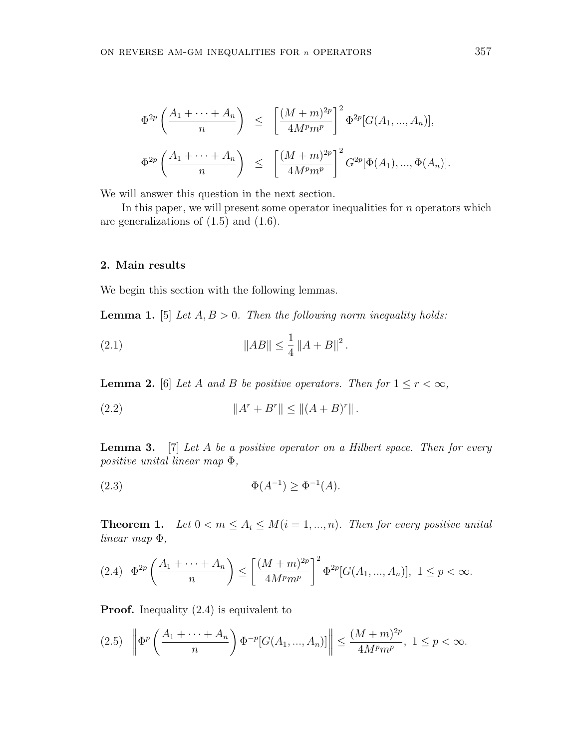$$
\Phi^{2p}\left(\frac{A_1 + \dots + A_n}{n}\right) \le \left[\frac{(M+m)^{2p}}{4M^p m^p}\right]^2 \Phi^{2p}[G(A_1, ..., A_n)],
$$
  

$$
\Phi^{2p}\left(\frac{A_1 + \dots + A_n}{n}\right) \le \left[\frac{(M+m)^{2p}}{4M^p m^p}\right]^2 G^{2p}[\Phi(A_1), ..., \Phi(A_n)].
$$

We will answer this question in the next section.

In this paper, we will present some operator inequalities for *n* operators which are generalizations of  $(1.5)$  and  $(1.6)$ .

#### **2. Main results**

We begin this section with the following lemmas.

**Lemma 1.** [5] *Let A, B >* 0*. Then the following norm inequality holds:*

(2.1) 
$$
\|AB\| \le \frac{1}{4} \|A + B\|^2.
$$

**Lemma 2.** [6] *Let A and B be positive operators. Then for*  $1 \le r < \infty$ *,* 

(2.2) 
$$
||A^r + B^r|| \le ||(A+B)^r||.
$$

**Lemma 3.** [7] *Let A be a positive operator on a Hilbert space. Then for every positive unital linear map* Φ*,*

(2.3) 
$$
\Phi(A^{-1}) \ge \Phi^{-1}(A).
$$

**Theorem 1.** Let  $0 < m \leq A_i \leq M(i = 1, ..., n)$ . Then for every positive unital *linear map* Φ*,*

$$
(2.4) \quad \Phi^{2p}\left(\frac{A_1 + \dots + A_n}{n}\right) \le \left[\frac{(M+m)^{2p}}{4M^p m^p}\right]^2 \Phi^{2p}[G(A_1, ..., A_n)], \ 1 \le p < \infty.
$$

**Proof.** Inequality  $(2.4)$  is equivalent to

$$
(2.5) \quad \left\| \Phi^p \left( \frac{A_1 + \dots + A_n}{n} \right) \Phi^{-p} [G(A_1, ..., A_n)] \right\| \le \frac{(M+m)^{2p}}{4M^p m^p}, \ 1 \le p < \infty.
$$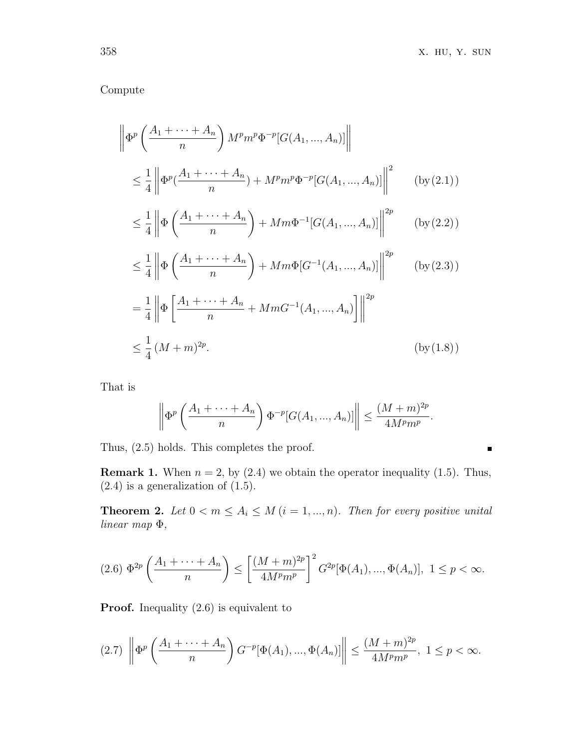$\blacksquare$ 

## Compute

$$
\left\| \Phi^p \left( \frac{A_1 + \dots + A_n}{n} \right) M^p m^p \Phi^{-p} [G(A_1, ..., A_n)] \right\|
$$
  

$$
\leq \frac{1}{4} \left\| \Phi^p (\frac{A_1 + \dots + A_n}{n}) + M^p m^p \Phi^{-p} [G(A_1, ..., A_n)] \right\|^2 \qquad (by (2.1))
$$

$$
\leq \frac{1}{4} \left\| \Phi\left(\frac{A_1 + \dots + A_n}{n}\right) + Mm\Phi^{-1}[G(A_1, ..., A_n)] \right\|^{2p} \qquad (\text{by (2.2)})
$$

$$
\leq \frac{1}{4} \left\| \Phi\left(\frac{A_1 + \dots + A_n}{n}\right) + Mm\Phi[G^{-1}(A_1, ..., A_n)] \right\|^{2p} \qquad \text{(by (2.3))}
$$

$$
= \frac{1}{4} \left\| \Phi \left[ \frac{A_1 + \dots + A_n}{n} + MmG^{-1}(A_1, ..., A_n) \right] \right\|^{2p}
$$
  

$$
\leq \frac{1}{4} (M+m)^{2p}.
$$
 (by (1.8))

That is

$$
\left\| \Phi^p \left( \frac{A_1 + \dots + A_n}{n} \right) \Phi^{-p} [G(A_1, ..., A_n)] \right\| \leq \frac{(M+m)^{2p}}{4M^p m^p}.
$$

Thus, (2.5) holds. This completes the proof.

**Remark 1.** When  $n = 2$ , by  $(2.4)$  we obtain the operator inequality  $(1.5)$ . Thus,  $(2.4)$  is a generalization of  $(1.5)$ .

**Theorem 2.** Let  $0 < m \leq A_i \leq M$  ( $i = 1, ..., n$ ). Then for every positive unital *linear map* Φ*,*

$$
(2.6) \ \Phi^{2p}\left(\frac{A_1 + \dots + A_n}{n}\right) \le \left[\frac{(M+m)^{2p}}{4M^p m^p}\right]^2 G^{2p}[\Phi(A_1), ..., \Phi(A_n)], \ 1 \le p < \infty.
$$

**Proof.** Inequality  $(2.6)$  is equivalent to

$$
(2.7) \ \left\| \Phi^p \left( \frac{A_1 + \dots + A_n}{n} \right) G^{-p} [\Phi(A_1), ..., \Phi(A_n)] \right\| \le \frac{(M+m)^{2p}}{4M^p m^p}, \ 1 \le p < \infty.
$$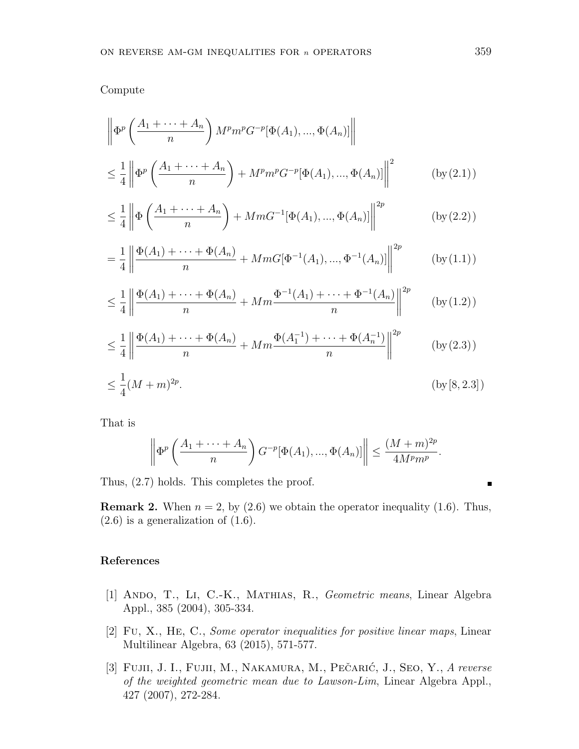Compute

$$
\left\| \Phi^p \left( \frac{A_1 + \dots + A_n}{n} \right) M^p m^p G^{-p} [\Phi(A_1), \dots, \Phi(A_n)] \right\|
$$
  

$$
\leq \frac{1}{4} \left\| \Phi^p \left( \frac{A_1 + \dots + A_n}{n} \right) + M^p m^p G^{-p} [\Phi(A_1), \dots, \Phi(A_n)] \right\|^2 \qquad (\text{by (2.1)})
$$

$$
\leq \frac{1}{4} \left\| \Phi\left(\frac{A_1 + \dots + A_n}{n}\right) + MmG^{-1}[\Phi(A_1), ..., \Phi(A_n)] \right\|^{2p} \qquad (\text{by (2.2)})
$$

$$
= \frac{1}{4} \left\| \frac{\Phi(A_1) + \dots + \Phi(A_n)}{n} + MmG[\Phi^{-1}(A_1), ..., \Phi^{-1}(A_n)] \right\|^{2p} \qquad (\text{by (1.1)})
$$

$$
\leq \frac{1}{4} \left\| \frac{\Phi(A_1) + \dots + \Phi(A_n)}{n} + Mm \frac{\Phi^{-1}(A_1) + \dots + \Phi^{-1}(A_n)}{n} \right\|^{2p} \qquad \text{(by (1.2))}
$$

$$
\leq \frac{1}{4} \left\| \frac{\Phi(A_1) + \dots + \Phi(A_n)}{n} + Mm \frac{\Phi(A_1^{-1}) + \dots + \Phi(A_n^{-1})}{n} \right\|^{2p} \qquad (\text{by (2.3)})
$$

$$
\leq \frac{1}{4}(M+m)^{2p}.\tag{by [8,2.3]}
$$

That is

$$
\left\| \Phi^p \left( \frac{A_1 + \dots + A_n}{n} \right) G^{-p} [\Phi(A_1), ..., \Phi(A_n)] \right\| \leq \frac{(M+m)^{2p}}{4M^p m^p}.
$$

Thus, (2.7) holds. This completes the proof.

**Remark 2.** When  $n = 2$ , by  $(2.6)$  we obtain the operator inequality  $(1.6)$ . Thus,  $(2.6)$  is a generalization of  $(1.6)$ .

### **References**

- [1] Ando, T., Li, C.-K., Mathias, R., *Geometric means*, Linear Algebra Appl., 385 (2004), 305-334.
- [2] Fu, X., He, C., *Some operator inequalities for positive linear maps*, Linear Multilinear Algebra, 63 (2015), 571-577.
- [3] Fujii, J. I., Fujii, M., Nakamura, M., Pečarić, J., Seo, Y., A reverse *of the weighted geometric mean due to Lawson-Lim*, Linear Algebra Appl., 427 (2007), 272-284.